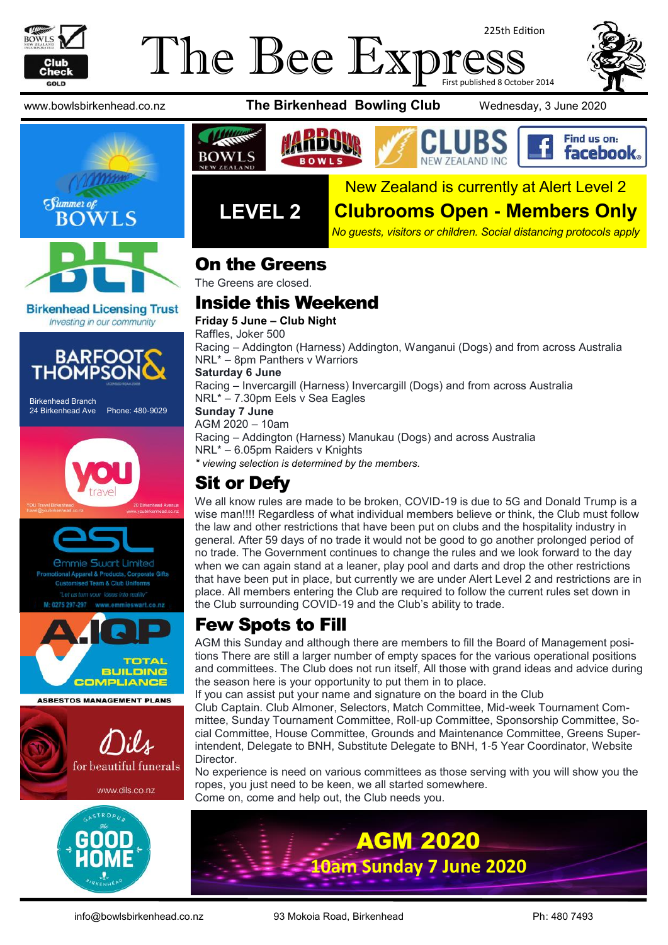

### The Bee Exp 225th Edition First published 8 October 2014





#### **Birkenhead Licensing Trust** Investing in our community



Birkenhead Branch 24 Birkenhead Ave Phone: 480-9029









**ASBESTOS MANAGEMENT PLANS** 











**LEVEL 2**

# New Zealand is currently at Alert Level 2

# **Clubrooms Open - Members Only**

*No guests, visitors or children. Social distancing protocols apply*

#### On the Greens

The Greens are closed.

# Inside this Weekend

**Friday 5 June – Club Night**

Raffles, Joker 500

Racing – Addington (Harness) Addington, Wanganui (Dogs) and from across Australia NRL\* – 8pm Panthers v Warriors

#### **Saturday 6 June**

**BOWLS** 

Racing – Invercargill (Harness) Invercargill (Dogs) and from across Australia NRL\* – 7.30pm Eels v Sea Eagles

**Sunday 7 June**

AGM 2020 – 10am Racing – Addington (Harness) Manukau (Dogs) and across Australia NRL\* – 6.05pm Raiders v Knights

*\* viewing selection is determined by the members.*

# Sit or Defy

We all know rules are made to be broken, COVID-19 is due to 5G and Donald Trump is a wise man!!!! Regardless of what individual members believe or think, the Club must follow the law and other restrictions that have been put on clubs and the hospitality industry in general. After 59 days of no trade it would not be good to go another prolonged period of no trade. The Government continues to change the rules and we look forward to the day when we can again stand at a leaner, play pool and darts and drop the other restrictions that have been put in place, but currently we are under Alert Level 2 and restrictions are in place. All members entering the Club are required to follow the current rules set down in the Club surrounding COVID-19 and the Club's ability to trade.

# Few Spots to Fill

AGM this Sunday and although there are members to fill the Board of Management positions There are still a larger number of empty spaces for the various operational positions and committees. The Club does not run itself, All those with grand ideas and advice during the season here is your opportunity to put them in to place.

If you can assist put your name and signature on the board in the Club

Club Captain. Club Almoner, Selectors, Match Committee, Mid-week Tournament Committee, Sunday Tournament Committee, Roll-up Committee, Sponsorship Committee, Social Committee, House Committee, Grounds and Maintenance Committee, Greens Superintendent, Delegate to BNH, Substitute Delegate to BNH, 1-5 Year Coordinator, Website Director.

No experience is need on various committees as those serving with you will show you the ropes, you just need to be keen, we all started somewhere. Come on, come and help out, the Club needs you.

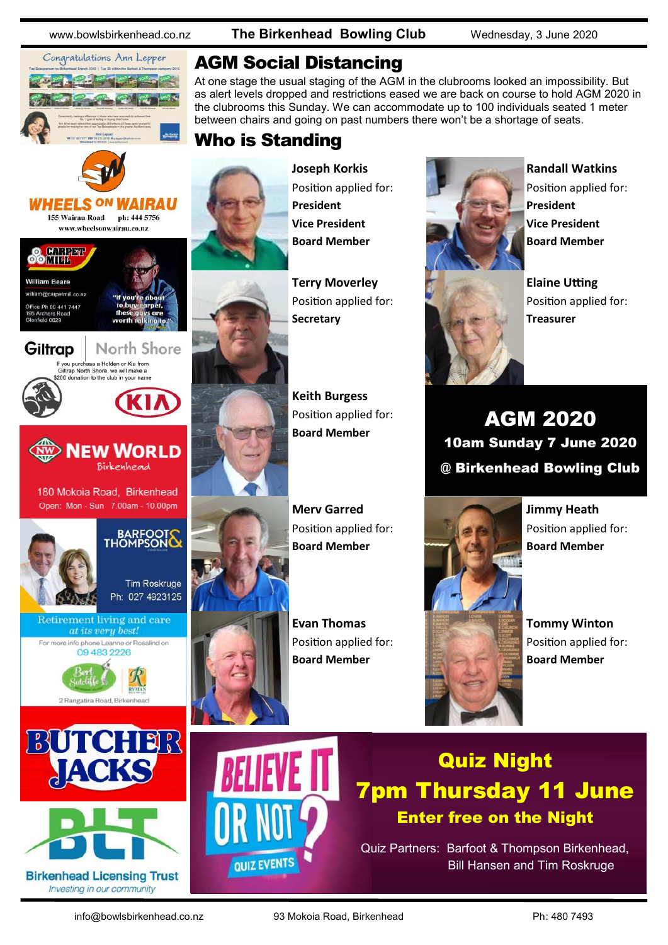*WAIRAU* 

North Shore

ה WORLD

BARFOOTS

**Tim Roskruge** Ph: 027 4923125

180 Mokoia Road, Birkenhead Open: Mon - Sun 7.00am - 10.00pm

Retirement living and care at its very best! For more info phone Leanne or Rosalind on 09 483 2226

2 Rangatira Road, Birka

**BUTCHER** 

**Birkenhead Licensing Trust** 



155 Wairau Road ph: 444 5756 www.wheelsonwairau.co.nz

If you purchase a Holden or Kia from<br>Giltrap North Shore, we will make a<br>\$200 donation to the club in your name

**HEELS ON** 

**O** DINTERN

**William Reare Mocametmill** co.pz ce Ph 09 441 7447 eld 0629

Giltrap

www.bowlsbirkenhead.co.nz **The Birkenhead Bowling Club** Wednesday, 3 June 2020

# AGM Social Distancing

At one stage the usual staging of the AGM in the clubrooms looked an impossibility. But as alert levels dropped and restrictions eased we are back on course to hold AGM 2020 in the clubrooms this Sunday. We can accommodate up to 100 individuals seated 1 meter between chairs and going on past numbers there won't be a shortage of seats.

# Who is Standing



**Joseph Korkis** Position applied for: **President Vice President Board Member**

**Terry Moverley** Position applied for: **Secretary**

**Keith Burgess** Position applied for: **Board Member**

**Merv Garred** Position applied for: **Board Member**

**Evan Thomas** Position applied for: **Board Member**



**Randall Watkins** Position applied for: **President Vice President Board Member**



**Elaine Utting** Position applied for: **Treasurer**

AGM 2020 10am Sunday 7 June 2020 @ Birkenhead Bowling Club



**Tommy Winton** Position applied for: **Board Member**



**QUIZ EVENTS** 

# Quiz Night 7pm Thursday 11 June Enter free on the Night

Quiz Partners: Barfoot & Thompson Birkenhead, Bill Hansen and Tim Roskruge

Investing in our community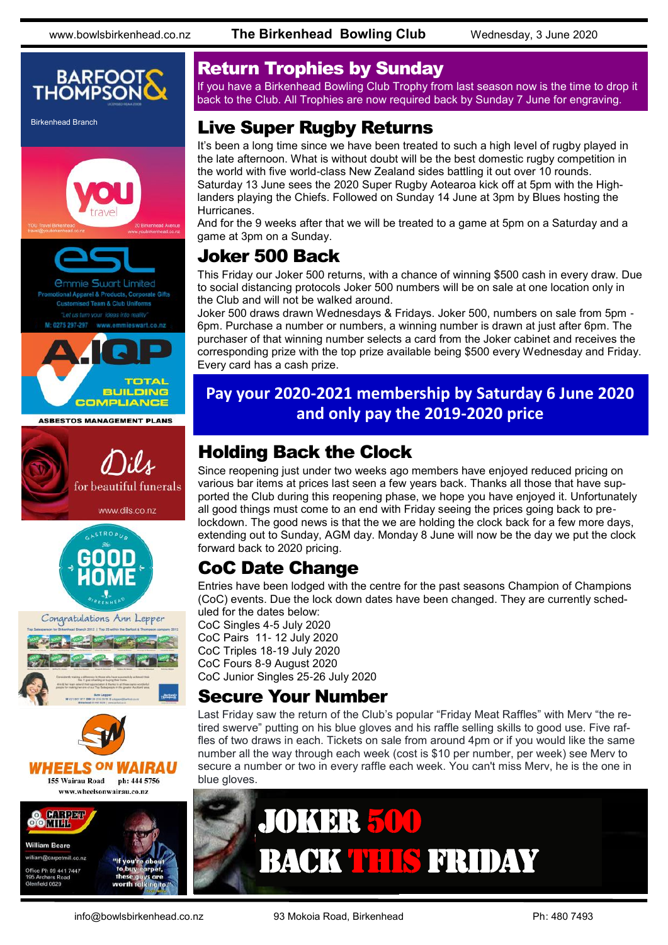www.bowlsbirkenhead.co.nz **The Birkenhead Bowling Club** Wednesday, 3 June 2020





ed Team & Club Uniforms ieswart.co.nz



**ASBESTOS MANAGEMENT PLANS** 









www.wheelsonwairau.co.nz



#### Return Trophies by Sunday

If you have a Birkenhead Bowling Club Trophy from last season now is the time to drop it back to the Club. All Trophies are now required back by Sunday 7 June for engraving.

# Birkenhead Branch **Live Super Rugby Returns**

It's been a long time since we have been treated to such a high level of rugby played in the late afternoon. What is without doubt will be the best domestic rugby competition in the world with five world-class New Zealand sides battling it out over 10 rounds. Saturday 13 June sees the 2020 Super Rugby Aotearoa kick off at 5pm with the Highlanders playing the Chiefs. Followed on Sunday 14 June at 3pm by Blues hosting the Hurricanes.

And for the 9 weeks after that we will be treated to a game at 5pm on a Saturday and a game at 3pm on a Sunday.

# Joker 500 Back

This Friday our Joker 500 returns, with a chance of winning \$500 cash in every draw. Due to social distancing protocols Joker 500 numbers will be on sale at one location only in the Club and will not be walked around.

Joker 500 draws drawn Wednesdays & Fridays. Joker 500, numbers on sale from 5pm - 6pm. Purchase a number or numbers, a winning number is drawn at just after 6pm. The purchaser of that winning number selects a card from the Joker cabinet and receives the corresponding prize with the top prize available being \$500 every Wednesday and Friday. Every card has a cash prize.

#### **Pay your 2020-2021 membership by Saturday 6 June 2020 and only pay the 2019-2020 price**

# Holding Back the Clock

Since reopening just under two weeks ago members have enjoyed reduced pricing on various bar items at prices last seen a few years back. Thanks all those that have supported the Club during this reopening phase, we hope you have enjoyed it. Unfortunately all good things must come to an end with Friday seeing the prices going back to prelockdown. The good news is that the we are holding the clock back for a few more days, extending out to Sunday, AGM day. Monday 8 June will now be the day we put the clock forward back to 2020 pricing.

# CoC Date Change

Entries have been lodged with the centre for the past seasons Champion of Champions (CoC) events. Due the lock down dates have been changed. They are currently scheduled for the dates below:

CoC Singles 4-5 July 2020 CoC Pairs 11- 12 July 2020 CoC Triples 18-19 July 2020 CoC Fours 8-9 August 2020 CoC Junior Singles 25-26 July 2020

### Secure Your Number

Last Friday saw the return of the Club's popular "Friday Meat Raffles" with Merv "the retired swerve" putting on his blue gloves and his raffle selling skills to good use. Five raffles of two draws in each. Tickets on sale from around 4pm or if you would like the same number all the way through each week (cost is \$10 per number, per week) see Merv to secure a number or two in every raffle each week. You can't miss Merv, he is the one in blue gloves.